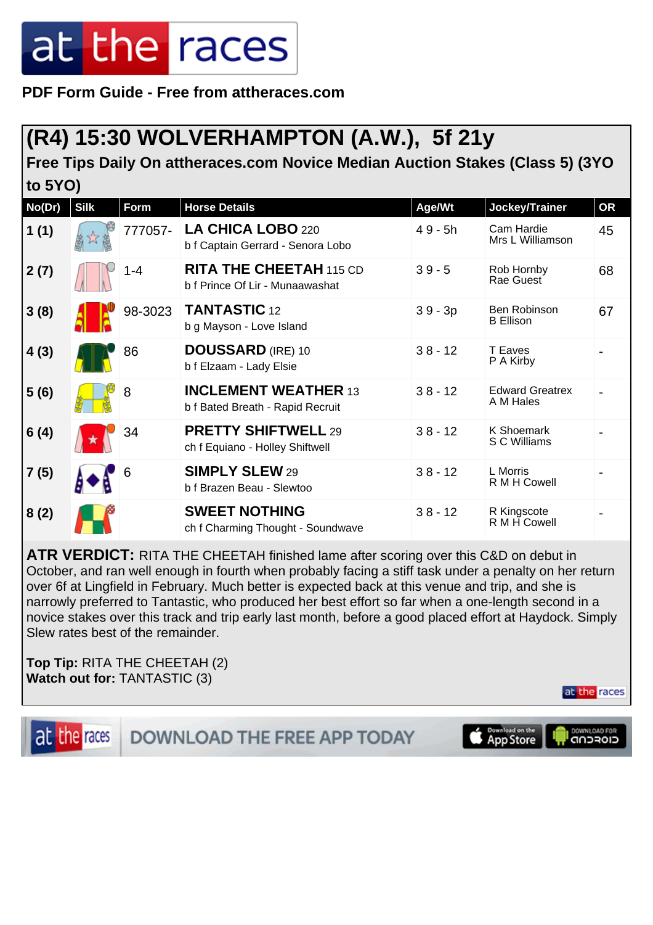**PDF Form Guide - Free from attheraces.com**

#### **(R4) 15:30 WOLVERHAMPTON (A.W.), 5f 21y**

**Free Tips Daily On attheraces.com Novice Median Auction Stakes (Class 5) (3YO to 5YO)**

| No(Dr) | <b>Silk</b> | Form    | <b>Horse Details</b>                                              | Age/Wt    | Jockey/Trainer                      | <b>OR</b> |
|--------|-------------|---------|-------------------------------------------------------------------|-----------|-------------------------------------|-----------|
| 1(1)   |             | 777057- | LA CHICA LOBO 220<br>b f Captain Gerrard - Senora Lobo            | $49 - 5h$ | Cam Hardie<br>Mrs L Williamson      | 45        |
| 2(7)   |             | $1 - 4$ | <b>RITA THE CHEETAH 115 CD</b><br>b f Prince Of Lir - Munaawashat | $39 - 5$  | Rob Hornby<br>Rae Guest             | 68        |
| 3(8)   |             | 98-3023 | <b>TANTASTIC 12</b><br>b g Mayson - Love Island                   | $39 - 3p$ | Ben Robinson<br><b>B</b> Ellison    | 67        |
| 4(3)   |             | 86      | <b>DOUSSARD</b> (IRE) 10<br>b f Elzaam - Lady Elsie               | $38 - 12$ | T Eaves<br>P A Kirby                |           |
| 5(6)   |             | 8       | <b>INCLEMENT WEATHER 13</b><br>b f Bated Breath - Rapid Recruit   | $38 - 12$ | <b>Edward Greatrex</b><br>A M Hales |           |
| 6(4)   |             | 34      | <b>PRETTY SHIFTWELL 29</b><br>ch f Equiano - Holley Shiftwell     | $38 - 12$ | K Shoemark<br>S C Williams          |           |
| 7(5)   |             | 6       | <b>SIMPLY SLEW 29</b><br>b f Brazen Beau - Slewtoo                | $38 - 12$ | L Morris<br>R M H Cowell            |           |
| 8(2)   |             |         | <b>SWEET NOTHING</b><br>ch f Charming Thought - Soundwave         | $38 - 12$ | R Kingscote<br>R M H Cowell         |           |

**ATR VERDICT:** RITA THE CHEETAH finished lame after scoring over this C&D on debut in October, and ran well enough in fourth when probably facing a stiff task under a penalty on her return over 6f at Lingfield in February. Much better is expected back at this venue and trip, and she is narrowly preferred to Tantastic, who produced her best effort so far when a one-length second in a novice stakes over this track and trip early last month, before a good placed effort at Haydock. Simply Slew rates best of the remainder.

**Top Tip:** RITA THE CHEETAH (2) **Watch out for:** TANTASTIC (3)

at the races



**DOWNLOAD THE FREE APP TODAY** 

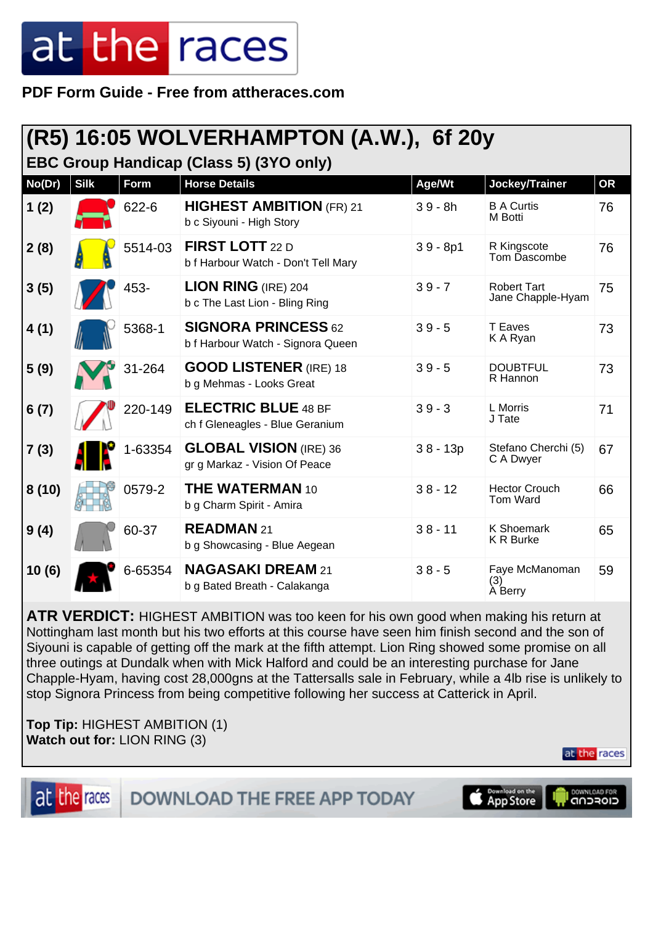**PDF Form Guide - Free from attheraces.com**

|                                         |             |             | (R5) 16:05 WOLVERHAMPTON (A.W.), 6f 20y                         |            |                                         |           |
|-----------------------------------------|-------------|-------------|-----------------------------------------------------------------|------------|-----------------------------------------|-----------|
| EBC Group Handicap (Class 5) (3YO only) |             |             |                                                                 |            |                                         |           |
| No(Dr)                                  | <b>Silk</b> | <b>Form</b> | <b>Horse Details</b>                                            | Age/Wt     | Jockey/Trainer                          | <b>OR</b> |
| 1(2)                                    |             | 622-6       | <b>HIGHEST AMBITION (FR) 21</b><br>b c Siyouni - High Story     | $39 - 8h$  | <b>B A Curtis</b><br>M Botti            | 76        |
| 2(8)                                    |             | 5514-03     | FIRST LOTT 22 D<br>b f Harbour Watch - Don't Tell Mary          | $39 - 8p1$ | R Kingscote<br>Tom Dascombe             | 76        |
| 3(5)                                    |             | 453-        | <b>LION RING</b> (IRE) $204$<br>b c The Last Lion - Bling Ring  | $39 - 7$   | <b>Robert Tart</b><br>Jane Chapple-Hyam | 75        |
| 4(1)                                    |             | 5368-1      | <b>SIGNORA PRINCESS 62</b><br>b f Harbour Watch - Signora Queen | $39 - 5$   | T Eaves<br>K A Ryan                     | 73        |
| 5(9)                                    |             | 31-264      | <b>GOOD LISTENER</b> (IRE) 18<br>b g Mehmas - Looks Great       | $39 - 5$   | <b>DOUBTFUL</b><br>R Hannon             | 73        |
| 6(7)                                    |             | 220-149     | <b>ELECTRIC BLUE 48 BF</b><br>ch f Gleneagles - Blue Geranium   | $39 - 3$   | L Morris<br>J Tate                      | 71        |
| 7(3)                                    |             | 1-63354     | <b>GLOBAL VISION (IRE) 36</b><br>gr g Markaz - Vision Of Peace  | $38 - 13p$ | Stefano Cherchi (5)<br>C A Dwyer        | 67        |
| 8(10)                                   |             | 0579-2      | <b>THE WATERMAN 10</b><br>b g Charm Spirit - Amira              | $38 - 12$  | <b>Hector Crouch</b><br>Tom Ward        | 66        |
| 9(4)                                    |             | 60-37       | READMAN 21<br>b g Showcasing - Blue Aegean                      | $38 - 11$  | <b>K Shoemark</b><br><b>K R Burke</b>   | 65        |
| 10(6)                                   |             | 6-65354     | <b>NAGASAKI DREAM 21</b><br>b g Bated Breath - Calakanga        | $38 - 5$   | Faye McManoman<br>(3)<br>A Berry        | 59        |

**ATR VERDICT:** HIGHEST AMBITION was too keen for his own good when making his return at Nottingham last month but his two efforts at this course have seen him finish second and the son of Siyouni is capable of getting off the mark at the fifth attempt. Lion Ring showed some promise on all three outings at Dundalk when with Mick Halford and could be an interesting purchase for Jane Chapple-Hyam, having cost 28,000gns at the Tattersalls sale in February, while a 4lb rise is unlikely to stop Signora Princess from being competitive following her success at Catterick in April.

**Top Tip:** HIGHEST AMBITION (1) **Watch out for:** LION RING (3)

at the races **DOWNLOAD THE FREE APP TODAY** 

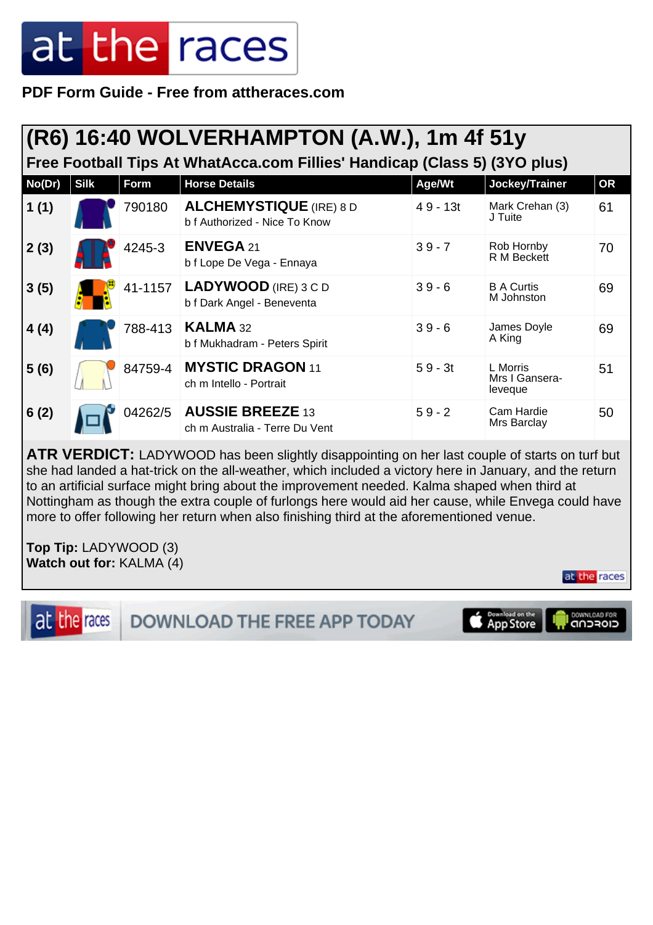**PDF Form Guide - Free from attheraces.com**

| (R6) 16:40 WOLVERHAMPTON (A.W.), 1m 4f 51y<br>Free Football Tips At WhatAcca.com Fillies' Handicap (Class 5) (3YO plus) |             |         |                                                                 |            |                                       |           |  |
|-------------------------------------------------------------------------------------------------------------------------|-------------|---------|-----------------------------------------------------------------|------------|---------------------------------------|-----------|--|
| No(Dr)                                                                                                                  | <b>Silk</b> | Form    | <b>Horse Details</b>                                            | Age/Wt     | Jockey/Trainer                        | <b>OR</b> |  |
| 1(1)                                                                                                                    |             | 790180  | <b>ALCHEMYSTIQUE</b> (IRE) 8 D<br>b f Authorized - Nice To Know | $49 - 13t$ | Mark Crehan (3)<br>J Tuite            | 61        |  |
| 2(3)                                                                                                                    |             | 4245-3  | <b>ENVEGA 21</b><br>b f Lope De Vega - Ennaya                   | $39 - 7$   | Rob Hornby<br>R M Beckett             | 70        |  |
| 3(5)                                                                                                                    |             | 41-1157 | LADYWOOD (IRE) 3 C D<br>b f Dark Angel - Beneventa              | $39 - 6$   | <b>B A Curtis</b><br>M Johnston       | 69        |  |
| 4(4)                                                                                                                    |             | 788-413 | <b>KALMA 32</b><br>b f Mukhadram - Peters Spirit                | $39 - 6$   | James Doyle<br>A King                 | 69        |  |
| 5(6)                                                                                                                    |             | 84759-4 | <b>MYSTIC DRAGON 11</b><br>ch m Intello - Portrait              | $59 - 3t$  | L Morris<br>Mrs I Gansera-<br>leveque | 51        |  |
| 6(2)                                                                                                                    |             | 04262/5 | <b>AUSSIE BREEZE 13</b><br>ch m Australia - Terre Du Vent       | $59 - 2$   | Cam Hardie<br>Mrs Barclay             | 50        |  |

**ATR VERDICT:** LADYWOOD has been slightly disappointing on her last couple of starts on turf but she had landed a hat-trick on the all-weather, which included a victory here in January, and the return to an artificial surface might bring about the improvement needed. Kalma shaped when third at Nottingham as though the extra couple of furlongs here would aid her cause, while Envega could have more to offer following her return when also finishing third at the aforementioned venue.

**Top Tip:** LADYWOOD (3) **Watch out for:** KALMA (4)

at the races

at the races DOWNLOAD FOR **DOWNLOAD THE FREE APP TODAY** Download on the<br>App Store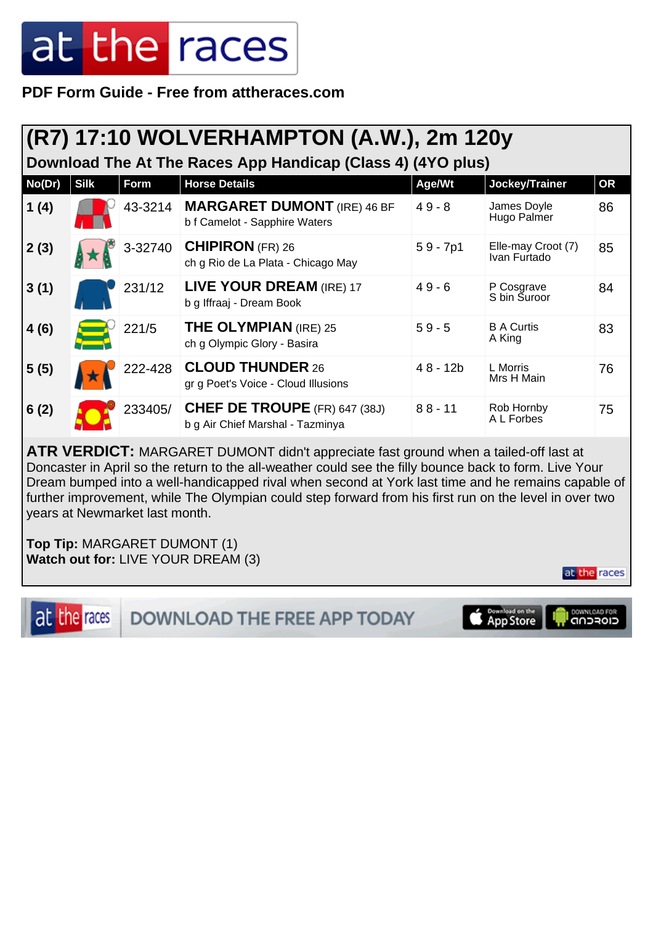**PDF Form Guide - Free from attheraces.com**

#### **(R7) 17:10 WOLVERHAMPTON (A.W.), 2m 120y**

**Download The At The Races App Handicap (Class 4) (4YO plus)**

| No(Dr) | <b>Silk</b> | Form    | <b>Horse Details</b>                                                     | Age/Wt     | Jockey/Trainer                     | <b>OR</b> |
|--------|-------------|---------|--------------------------------------------------------------------------|------------|------------------------------------|-----------|
| 1(4)   |             | 43-3214 | <b>MARGARET DUMONT</b> (IRE) 46 BF<br>b f Camelot - Sapphire Waters      | $49 - 8$   | James Doyle<br>Hugo Palmer         | 86        |
| 2(3)   |             | 3-32740 | <b>CHIPIRON</b> (FR) 26<br>ch g Rio de La Plata - Chicago May            | $59 - 7p1$ | Elle-may Croot (7)<br>Ivan Furtado | 85        |
| 3(1)   |             | 231/12  | LIVE YOUR DREAM (IRE) 17<br>b g Iffraaj - Dream Book                     | $49 - 6$   | P Cosgrave<br>S bin Suroor         | 84        |
| 4(6)   |             | 221/5   | <b>THE OLYMPIAN (IRE) 25</b><br>ch g Olympic Glory - Basira              | $59 - 5$   | <b>B A Curtis</b><br>A King        | 83        |
| 5(5)   |             | 222-428 | <b>CLOUD THUNDER 26</b><br>gr g Poet's Voice - Cloud Illusions           | $48 - 12b$ | L Morris<br>Mrs H Main             | 76        |
| 6(2)   |             | 233405/ | <b>CHEF DE TROUPE</b> (FR) 647 (38J)<br>b g Air Chief Marshal - Tazminya | $88 - 11$  | Rob Hornby<br>A L Forbes           | 75        |

**ATR VERDICT:** MARGARET DUMONT didn't appreciate fast ground when a tailed-off last at Doncaster in April so the return to the all-weather could see the filly bounce back to form. Live Your Dream bumped into a well-handicapped rival when second at York last time and he remains capable of further improvement, while The Olympian could step forward from his first run on the level in over two years at Newmarket last month.

**Top Tip:** MARGARET DUMONT (1) **Watch out for:** LIVE YOUR DREAM (3)



DOWNLOAD THE FREE APP TODAY

Download on the **DOWNLOAD FOR**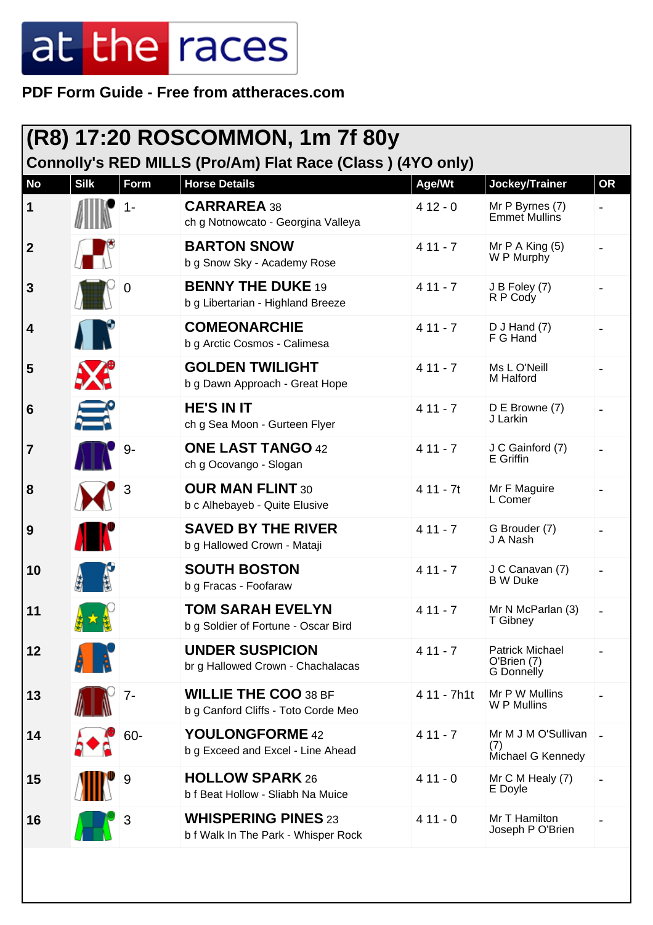| (R8) 17:20 ROSCOMMON, 1m 7f 80y<br>Connolly's RED MILLS (Pro/Am) Flat Race (Class) (4YO only) |                 |       |                                                                    |             |                                                            |           |
|-----------------------------------------------------------------------------------------------|-----------------|-------|--------------------------------------------------------------------|-------------|------------------------------------------------------------|-----------|
| <b>No</b>                                                                                     | <b>Silk</b>     | Form  | <b>Horse Details</b>                                               | Age/Wt      | Jockey/Trainer                                             | <b>OR</b> |
| 1                                                                                             |                 | $1 -$ | <b>CARRAREA 38</b><br>ch g Notnowcato - Georgina Valleya           | $412 - 0$   | Mr P Byrnes (7)<br>Emmet Mullins                           |           |
| $\mathbf{2}$                                                                                  |                 |       | <b>BARTON SNOW</b><br>b g Snow Sky - Academy Rose                  | $411 - 7$   | Mr $P$ A King $(5)$<br>W P Murphy                          |           |
| 3                                                                                             |                 | 0     | <b>BENNY THE DUKE 19</b><br>b g Libertarian - Highland Breeze      | $411 - 7$   | J B Foley (7)<br>R P Cody                                  |           |
| 4                                                                                             | $\prod_{i=1}^n$ |       | <b>COMEONARCHIE</b><br>b g Arctic Cosmos - Calimesa                | $411 - 7$   | $D$ J Hand $(7)$<br>F G Hand                               |           |
| 5                                                                                             | <b>AXE</b>      |       | <b>GOLDEN TWILIGHT</b><br>b g Dawn Approach - Great Hope           | $411 - 7$   | Ms L O'Neill<br>M Halford                                  |           |
| 6                                                                                             | Ξ               |       | <b>HE'S IN IT</b><br>ch g Sea Moon - Gurteen Flyer                 | $411 - 7$   | D E Browne (7)<br>J Larkin                                 |           |
| 7                                                                                             |                 | 9-    | <b>ONE LAST TANGO 42</b><br>ch g Ocovango - Slogan                 | $411 - 7$   | J C Gainford (7)<br>E Griffin                              |           |
| 8                                                                                             |                 | 3     | <b>OUR MAN FLINT 30</b><br>b c Alhebayeb - Quite Elusive           | $411 - 7t$  | Mr F Maguire<br>L Comer                                    |           |
| $\boldsymbol{9}$                                                                              |                 |       | <b>SAVED BY THE RIVER</b><br>b g Hallowed Crown - Mataji           | $411 - 7$   | G Brouder (7)<br>J A Nash                                  |           |
| 10                                                                                            |                 |       | <b>SOUTH BOSTON</b><br>b g Fracas - Foofaraw                       | $411 - 7$   | J C Canavan (7)<br><b>B</b> W Duke                         |           |
| 11                                                                                            |                 |       | <b>TOM SARAH EVELYN</b><br>b g Soldier of Fortune - Oscar Bird     | $411 - 7$   | Mr N McParlan (3)<br>T Gibney                              |           |
| 12                                                                                            |                 |       | <b>UNDER SUSPICION</b><br>br g Hallowed Crown - Chachalacas        | $411 - 7$   | <b>Patrick Michael</b><br>O'Brien (7)<br><b>G</b> Donnelly |           |
| 13                                                                                            |                 | 7-    | <b>WILLIE THE COO 38 BF</b><br>b g Canford Cliffs - Toto Corde Meo | 4 11 - 7h1t | Mr P W Mullins<br>W P Mullins                              |           |
| 14                                                                                            |                 | 60-   | YOULONGFORME 42<br>b g Exceed and Excel - Line Ahead               | $411 - 7$   | Mr M J M O'Sullivan<br>(7)<br>Michael G Kennedy            |           |
| 15                                                                                            |                 | 9     | <b>HOLLOW SPARK 26</b><br>b f Beat Hollow - Sliabh Na Muice        | $411 - 0$   | Mr C M Healy (7)<br>E Doyle                                |           |
| 16                                                                                            |                 | 3     | <b>WHISPERING PINES 23</b><br>b f Walk In The Park - Whisper Rock  | $411 - 0$   | Mr T Hamilton<br>Joseph P O'Brien                          |           |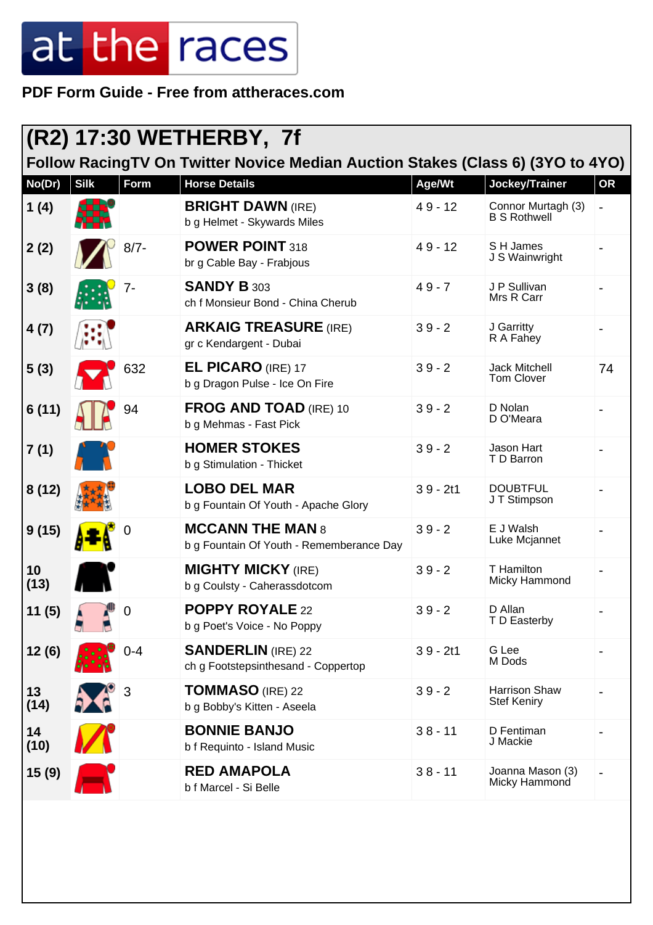| (R2) 17:30 WETHERBY, 7f |             |             |                                                                                |            |                                           |           |
|-------------------------|-------------|-------------|--------------------------------------------------------------------------------|------------|-------------------------------------------|-----------|
|                         |             |             | Follow RacingTV On Twitter Novice Median Auction Stakes (Class 6) (3YO to 4YO) |            |                                           |           |
| No(Dr)                  | <b>Silk</b> | Form        | <b>Horse Details</b>                                                           | Age/Wt     | Jockey/Trainer                            | <b>OR</b> |
| 1(4)                    |             |             | <b>BRIGHT DAWN (IRE)</b><br>b g Helmet - Skywards Miles                        | $49 - 12$  | Connor Murtagh (3)<br><b>B S Rothwell</b> |           |
| 2(2)                    |             | $8/7 -$     | <b>POWER POINT 318</b><br>br g Cable Bay - Frabjous                            | $49 - 12$  | S H James<br>J S Wainwright               |           |
| 3(8)                    |             | 7-          | <b>SANDY B 303</b><br>ch f Monsieur Bond - China Cherub                        | $49 - 7$   | J P Sullivan<br>Mrs R Carr                |           |
| 4(7)                    |             |             | <b>ARKAIG TREASURE (IRE)</b><br>gr c Kendargent - Dubai                        | $39 - 2$   | J Garritty<br>R A Fahey                   |           |
| 5(3)                    |             | 632         | <b>EL PICARO (IRE) 17</b><br>b g Dragon Pulse - Ice On Fire                    | $39 - 2$   | <b>Jack Mitchell</b><br>Tom Clover        | 74        |
| 6(11)                   |             | 94          | <b>FROG AND TOAD (IRE) 10</b><br>b g Mehmas - Fast Pick                        | $39 - 2$   | D Nolan<br>D O'Meara                      |           |
| 7(1)                    |             |             | <b>HOMER STOKES</b><br>b g Stimulation - Thicket                               | $39 - 2$   | Jason Hart<br>T D Barron                  |           |
| 8(12)                   |             |             | <b>LOBO DEL MAR</b><br>b g Fountain Of Youth - Apache Glory                    | $39 - 2t1$ | <b>DOUBTFUL</b><br>J T Stimpson           |           |
| 9(15)                   |             |             | <b>MCCANN THE MAN 8</b><br>b g Fountain Of Youth - Rememberance Day            | $39 - 2$   | E J Walsh<br>Luke Mcjannet                |           |
| 10<br>(13)              |             |             | <b>MIGHTY MICKY (IRE)</b><br>b g Coulsty - Caherassdotcom                      | $39 - 2$   | T Hamilton<br>Micky Hammond               |           |
| 11 (5)                  |             | $\mathbf 0$ | <b>POPPY ROYALE 22</b><br>b g Poet's Voice - No Poppy                          | $39 - 2$   | D Allan<br>T D Easterby                   |           |
| 12(6)                   |             | $0 - 4$     | <b>SANDERLIN</b> (IRE) 22<br>ch g Footstepsinthesand - Coppertop               | $39 - 2t1$ | G Lee<br>M Dods                           |           |
| 13<br>(14)              |             | 3           | <b>TOMMASO</b> (IRE) 22<br>b g Bobby's Kitten - Aseela                         | $39 - 2$   | Harrison Shaw<br><b>Stef Keniry</b>       |           |
| 14<br>(10)              |             |             | <b>BONNIE BANJO</b><br>b f Requinto - Island Music                             | $38 - 11$  | D Fentiman<br>J Mackie                    |           |
| 15 (9)                  |             |             | <b>RED AMAPOLA</b><br>b f Marcel - Si Belle                                    | $38 - 11$  | Joanna Mason (3)<br>Micky Hammond         |           |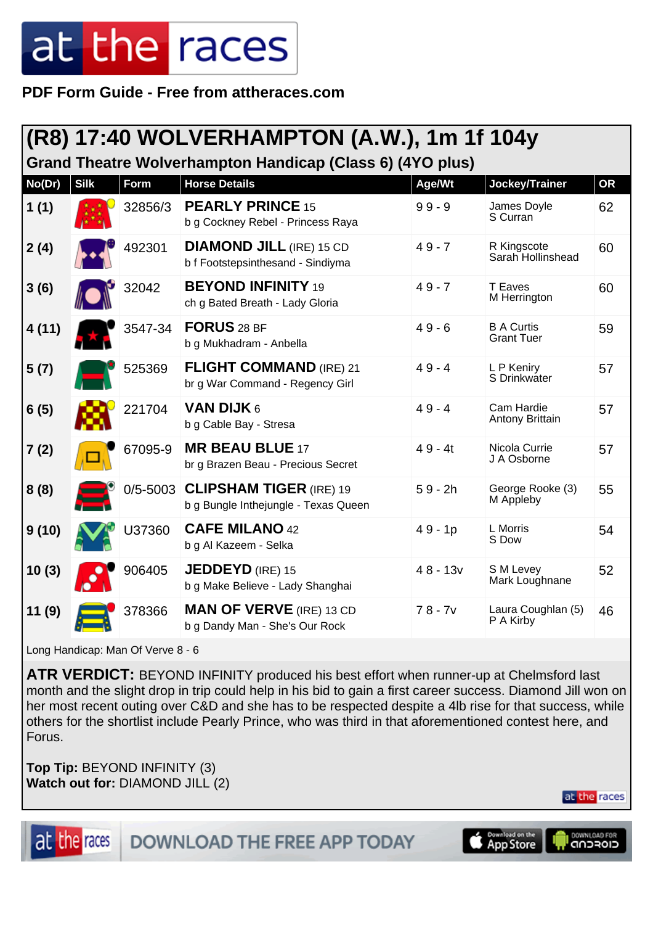**PDF Form Guide - Free from attheraces.com**

#### **(R8) 17:40 WOLVERHAMPTON (A.W.), 1m 1f 104y Grand Theatre Wolverhampton Handicap (Class 6) (4YO plus)**

| No(Dr) | <b>Silk</b> | Form         | <b>Horse Details</b>                                                   | Age/Wt     | Jockey/Trainer                         | <b>OR</b> |
|--------|-------------|--------------|------------------------------------------------------------------------|------------|----------------------------------------|-----------|
| 1(1)   |             | 32856/3      | <b>PEARLY PRINCE 15</b><br>b g Cockney Rebel - Princess Raya           | $99 - 9$   | James Doyle<br>S Curran                | 62        |
| 2(4)   |             | 492301       | <b>DIAMOND JILL (IRE) 15 CD</b><br>b f Footstepsinthesand - Sindiyma   | $49 - 7$   | R Kingscote<br>Sarah Hollinshead       | 60        |
| 3(6)   |             | 32042        | <b>BEYOND INFINITY 19</b><br>ch g Bated Breath - Lady Gloria           | $49 - 7$   | <b>T</b> Eaves<br>M Herrington         | 60        |
| 4(11)  |             | 3547-34      | FORUS 28 BF<br>b g Mukhadram - Anbella                                 | $49 - 6$   | <b>B A Curtis</b><br><b>Grant Tuer</b> | 59        |
| 5(7)   |             | 525369       | <b>FLIGHT COMMAND (IRE) 21</b><br>br g War Command - Regency Girl      | $49 - 4$   | L P Keniry<br>S Drinkwater             | 57        |
| 6(5)   |             | 221704       | VAN DIJK 6<br>b g Cable Bay - Stresa                                   | $49 - 4$   | Cam Hardie<br>Antony Brittain          | 57        |
| 7(2)   |             | 67095-9      | <b>MR BEAU BLUE 17</b><br>br g Brazen Beau - Precious Secret           | $49 - 4t$  | Nicola Currie<br>J A Osborne           | 57        |
| 8(8)   |             | $0/5 - 5003$ | <b>CLIPSHAM TIGER (IRE) 19</b><br>b g Bungle Inthejungle - Texas Queen | $59 - 2h$  | George Rooke (3)<br>M Appleby          | 55        |
| 9(10)  |             | U37360       | <b>CAFE MILANO 42</b><br>b g Al Kazeem - Selka                         | $49 - 1p$  | L Morris<br>S Dow                      | 54        |
| 10(3)  |             | 906405       | <b>JEDDEYD</b> (IRE) 15<br>b g Make Believe - Lady Shanghai            | $48 - 13v$ | S M Levey<br>Mark Loughnane            | 52        |
| 11(9)  |             | 378366       | <b>MAN OF VERVE (IRE) 13 CD</b><br>b g Dandy Man - She's Our Rock      | $78 - 7v$  | Laura Coughlan (5)<br>P A Kirby        | 46        |

Long Handicap: Man Of Verve 8 - 6

**ATR VERDICT:** BEYOND INFINITY produced his best effort when runner-up at Chelmsford last month and the slight drop in trip could help in his bid to gain a first career success. Diamond Jill won on her most recent outing over C&D and she has to be respected despite a 4lb rise for that success, while others for the shortlist include Pearly Prince, who was third in that aforementioned contest here, and Forus.

**Top Tip:** BEYOND INFINITY (3) **Watch out for:** DIAMOND JILL (2)

at the races





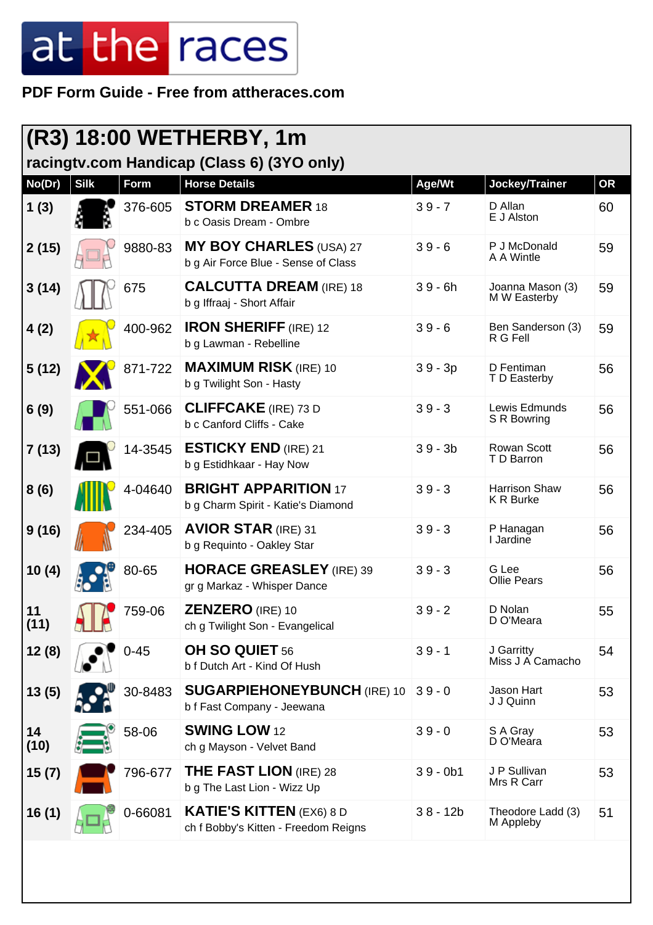| (R3) 18:00 WETHERBY, 1m<br>racingtv.com Handicap (Class 6) (3YO only) |             |          |                                                                         |            |                                          |           |
|-----------------------------------------------------------------------|-------------|----------|-------------------------------------------------------------------------|------------|------------------------------------------|-----------|
| No(Dr)                                                                | <b>Silk</b> | Form     | <b>Horse Details</b>                                                    | Age/Wt     | Jockey/Trainer                           | <b>OR</b> |
| 1(3)                                                                  |             | 376-605  | <b>STORM DREAMER 18</b><br>b c Oasis Dream - Ombre                      | $39 - 7$   | D Allan<br>E J Alston                    | 60        |
| 2(15)                                                                 |             | 9880-83  | <b>MY BOY CHARLES (USA) 27</b><br>b g Air Force Blue - Sense of Class   | $39 - 6$   | P J McDonald<br>A A Wintle               | 59        |
| 3(14)                                                                 |             | 675      | <b>CALCUTTA DREAM (IRE) 18</b><br>b g Iffraaj - Short Affair            | $39 - 6h$  | Joanna Mason (3)<br>M W Easterby         | 59        |
| 4(2)                                                                  |             | 400-962  | <b>IRON SHERIFF (IRE) 12</b><br>b g Lawman - Rebelline                  | $39 - 6$   | Ben Sanderson (3)<br>R G Fell            | 59        |
| 5(12)                                                                 |             | 871-722  | <b>MAXIMUM RISK (IRE) 10</b><br>b g Twilight Son - Hasty                | $39 - 3p$  | D Fentiman<br>T D Easterby               | 56        |
| 6(9)                                                                  |             | 551-066  | <b>CLIFFCAKE</b> (IRE) 73 D<br>b c Canford Cliffs - Cake                | $39 - 3$   | Lewis Edmunds<br>S R Bowring             | 56        |
| 7 (13)                                                                |             | 14-3545  | <b>ESTICKY END (IRE) 21</b><br>b g Estidhkaar - Hay Now                 | $39 - 3b$  | Rowan Scott<br>T D Barron                | 56        |
| 8(6)                                                                  |             | 4-04640  | <b>BRIGHT APPARITION 17</b><br>b g Charm Spirit - Katie's Diamond       | $39 - 3$   | <b>Harrison Shaw</b><br><b>K R Burke</b> | 56        |
| 9(16)                                                                 |             | 234-405  | <b>AVIOR STAR (IRE) 31</b><br>b g Requinto - Oakley Star                | $39 - 3$   | P Hanagan<br>I Jardine                   | 56        |
| 10(4)                                                                 |             | 80-65    | <b>HORACE GREASLEY</b> (IRE) 39<br>gr g Markaz - Whisper Dance          | $39 - 3$   | G Lee<br><b>Ollie Pears</b>              | 56        |
| 11<br>(11)                                                            |             | 759-06   | ZENZERO (IRE) 10<br>ch g Twilight Son - Evangelical                     | $39 - 2$   | D Nolan<br>D O'Meara                     | 55        |
| 12(8)                                                                 |             | $0 - 45$ | OH SO QUIET 56<br>b f Dutch Art - Kind Of Hush                          | $39 - 1$   | J Garritty<br>Miss J A Camacho           | 54        |
| 13(5)                                                                 |             | 30-8483  | <b>SUGARPIEHONEYBUNCH (IRE) 10</b><br>b f Fast Company - Jeewana        | $39 - 0$   | Jason Hart<br>J J Quinn                  | 53        |
| 14<br>(10)                                                            |             | 58-06    | <b>SWING LOW 12</b><br>ch g Mayson - Velvet Band                        | $39 - 0$   | S A Gray<br>D O'Meara                    | 53        |
| 15(7)                                                                 |             | 796-677  | <b>THE FAST LION (IRE) 28</b><br>b g The Last Lion - Wizz Up            | $39 - 0b1$ | J P Sullivan<br>Mrs R Carr               | 53        |
| 16(1)                                                                 |             | 0-66081  | <b>KATIE'S KITTEN (EX6) 8 D</b><br>ch f Bobby's Kitten - Freedom Reigns | $38 - 12b$ | Theodore Ladd (3)<br>M Appleby           | 51        |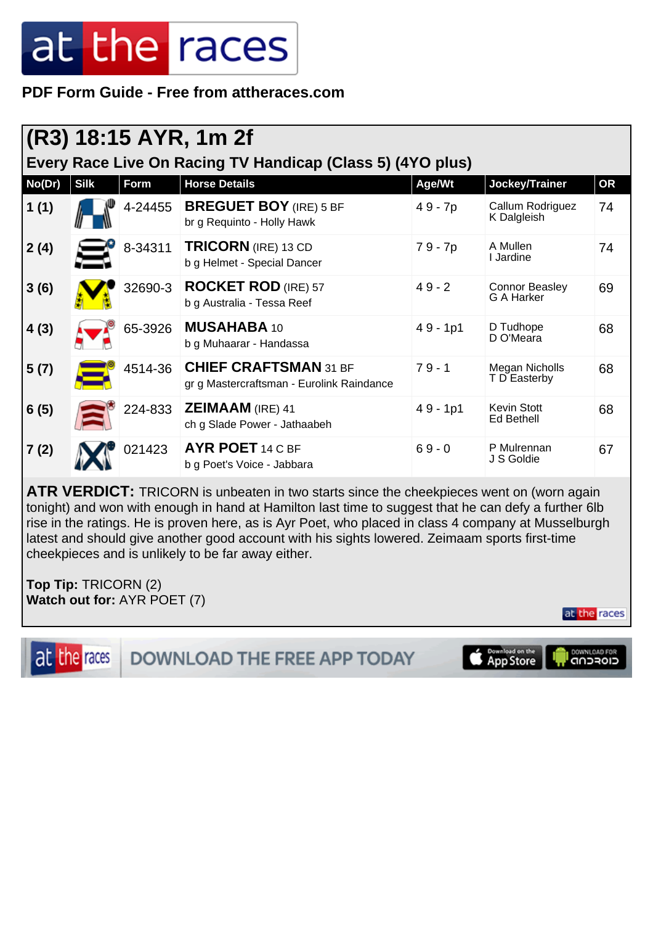**PDF Form Guide - Free from attheraces.com**

| (R3) 18:15 AYR, 1m 2f<br>Every Race Live On Racing TV Handicap (Class 5) (4YO plus) |             |         |                                                                           |            |                                     |           |  |
|-------------------------------------------------------------------------------------|-------------|---------|---------------------------------------------------------------------------|------------|-------------------------------------|-----------|--|
| No(Dr)                                                                              | <b>Silk</b> | Form    | <b>Horse Details</b>                                                      | Age/Wt     | Jockey/Trainer                      | <b>OR</b> |  |
| 1(1)                                                                                |             | 4-24455 | <b>BREGUET BOY</b> (IRE) 5 BF<br>br g Requinto - Holly Hawk               | 49 - 7p    | Callum Rodriguez<br>K Dalgleish     | 74        |  |
| 2(4)                                                                                |             | 8-34311 | <b>TRICORN</b> (IRE) 13 CD<br>b g Helmet - Special Dancer                 | 79 - 7p    | A Mullen<br>I Jardine               | 74        |  |
| 3(6)                                                                                |             | 32690-3 | <b>ROCKET ROD</b> (IRE) 57<br>b g Australia - Tessa Reef                  | $49 - 2$   | <b>Connor Beasley</b><br>G A Harker | 69        |  |
| 4(3)                                                                                |             | 65-3926 | <b>MUSAHABA 10</b><br>b g Muhaarar - Handassa                             | $49 - 1p1$ | D Tudhope<br>D O'Meara              | 68        |  |
| 5(7)                                                                                |             | 4514-36 | <b>CHIEF CRAFTSMAN 31 BF</b><br>gr g Mastercraftsman - Eurolink Raindance | $79 - 1$   | Megan Nicholls<br>T D Easterby      | 68        |  |
| 6(5)                                                                                |             | 224-833 | ZEIMAAM (IRE) 41<br>ch g Slade Power - Jathaabeh                          | $49 - 1p1$ | <b>Kevin Stott</b><br>Ed Bethell    | 68        |  |
| 7(2)                                                                                |             | 021423  | <b>AYR POET 14 C BF</b><br>b g Poet's Voice - Jabbara                     | $69 - 0$   | P Mulrennan<br>J S Goldie           | 67        |  |

**ATR VERDICT:** TRICORN is unbeaten in two starts since the cheekpieces went on (worn again tonight) and won with enough in hand at Hamilton last time to suggest that he can defy a further 6lb rise in the ratings. He is proven here, as is Ayr Poet, who placed in class 4 company at Musselburgh latest and should give another good account with his sights lowered. Zeimaam sports first-time cheekpieces and is unlikely to be far away either.

**Top Tip:** TRICORN (2) **Watch out for:** AYR POET (7)

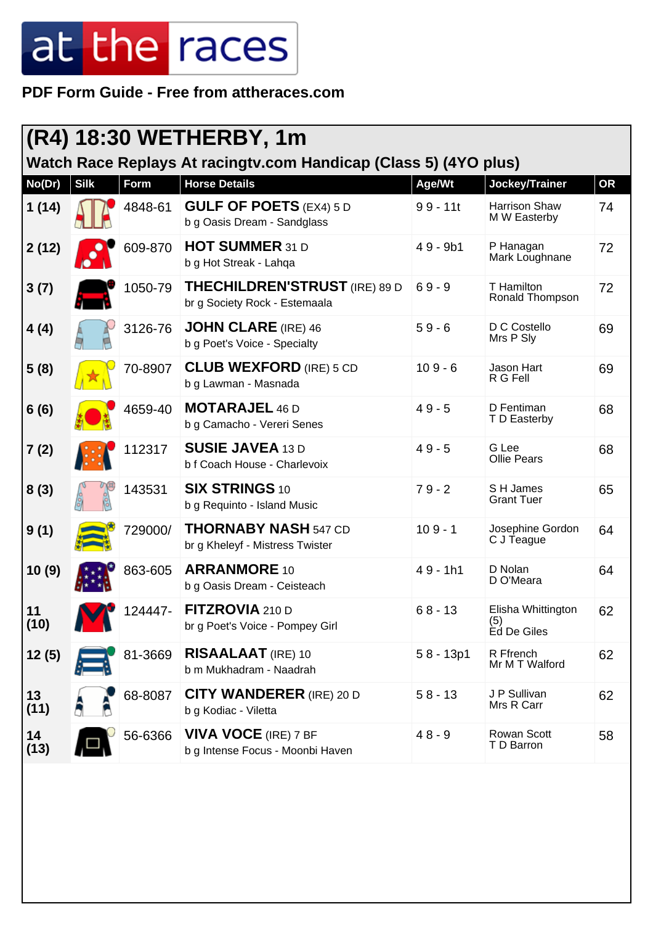|            |             |         | (R4) 18:30 WETHERBY, 1m                                               |             |                                          |           |
|------------|-------------|---------|-----------------------------------------------------------------------|-------------|------------------------------------------|-----------|
|            |             |         | Watch Race Replays At racingtv.com Handicap (Class 5) (4YO plus)      |             |                                          |           |
| No(Dr)     | <b>Silk</b> | Form    | <b>Horse Details</b>                                                  | Age/Wt      | Jockey/Trainer                           | <b>OR</b> |
| 1(14)      |             | 4848-61 | <b>GULF OF POETS (EX4) 5 D</b><br>b g Oasis Dream - Sandglass         | $99 - 11t$  | Harrison Shaw<br>M W Easterby            | 74        |
| 2(12)      |             | 609-870 | <b>HOT SUMMER 31 D</b><br>b g Hot Streak - Lahqa                      | $49 - 9b1$  | P Hanagan<br>Mark Loughnane              | 72        |
| 3(7)       |             | 1050-79 | <b>THECHILDREN'STRUST</b> (IRE) 89 D<br>br g Society Rock - Estemaala | $69 - 9$    | T Hamilton<br>Ronald Thompson            | 72        |
| 4(4)       |             | 3126-76 | <b>JOHN CLARE (IRE) 46</b><br>b g Poet's Voice - Specialty            | $59 - 6$    | D C Costello<br>Mrs P Sly                | 69        |
| 5(8)       |             | 70-8907 | <b>CLUB WEXFORD</b> (IRE) 5 CD<br>b g Lawman - Masnada                | $109 - 6$   | Jason Hart<br>R G Fell                   | 69        |
| 6(6)       |             | 4659-40 | <b>MOTARAJEL 46 D</b><br>b g Camacho - Vereri Senes                   | $49 - 5$    | D Fentiman<br>T D Easterby               | 68        |
| 7(2)       |             | 112317  | <b>SUSIE JAVEA 13 D</b><br>b f Coach House - Charlevoix               | $49 - 5$    | G Lee<br><b>Ollie Pears</b>              | 68        |
| 8(3)       |             | 143531  | <b>SIX STRINGS 10</b><br>b g Requinto - Island Music                  | $79 - 2$    | S H James<br><b>Grant Tuer</b>           | 65        |
| 9(1)       |             | 729000/ | <b>THORNABY NASH 547 CD</b><br>br g Kheleyf - Mistress Twister        | $109 - 1$   | Josephine Gordon<br>C J Teague           | 64        |
| 10(9)      |             | 863-605 | <b>ARRANMORE 10</b><br>b g Oasis Dream - Ceisteach                    | $49 - 1h1$  | D Nolan<br>D O'Meara                     | 64        |
| 11<br>(10) |             | 124447- | FITZROVIA 210 D<br>br g Poet's Voice - Pompey Girl                    | $68 - 13$   | Elisha Whittington<br>(5)<br>Èd De Giles | 62        |
| 12(5)      |             | 81-3669 | <b>RISAALAAT</b> (IRE) 10<br>b m Mukhadram - Naadrah                  | $58 - 13p1$ | R Ffrench<br>Mr M T Walford              | 62        |
| 13<br>(11) |             | 68-8087 | <b>CITY WANDERER (IRE) 20 D</b><br>b g Kodiac - Viletta               | $58 - 13$   | J P Sullivan<br>Mrs R Carr               | 62        |
| 14<br>(13) |             | 56-6366 | <b>VIVA VOCE</b> (IRE) 7 BF<br>b g Intense Focus - Moonbi Haven       | $48 - 9$    | <b>Rowan Scott</b><br>T D Barron         | 58        |